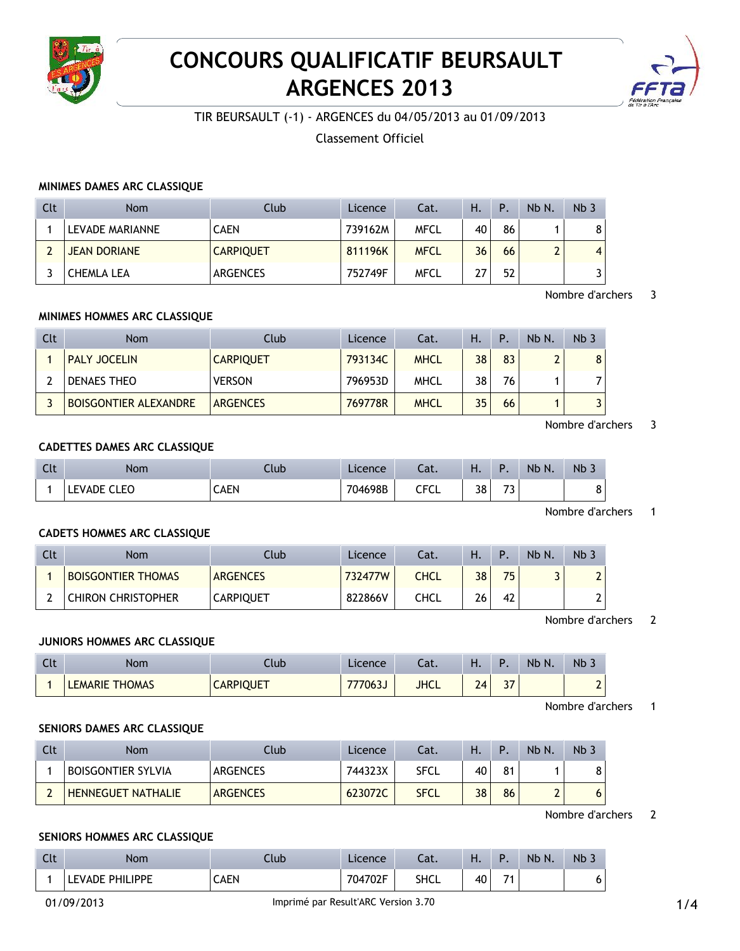

# **CONCOURS QUALIFICATIF BEURSAULT ARGENCES 2013**



TIR BEURSAULT (-1) - ARGENCES du 04/05/2013 au 01/09/2013

Classement Officiel

## **MINIMES DAMES ARC CLASSIQUE**

| Clt | Nom                 | Club             | Licence | Cat.        | Ή. | Ρ. | Nb N. | Nb <sub>3</sub> |
|-----|---------------------|------------------|---------|-------------|----|----|-------|-----------------|
|     | LEVADE MARIANNE     | <b>CAEN</b>      | 739162M | <b>MFCL</b> | 40 | 86 |       | 8               |
|     | <b>JEAN DORIANE</b> | <b>CARPIQUET</b> | 811196K | <b>MFCL</b> | 36 | 66 | ◠     | $\overline{4}$  |
|     | CHEMLA LEA          | <b>ARGENCES</b>  | 752749F | <b>MFCL</b> | วว | 52 |       |                 |

### Nombre d'archers 3

## **MINIMES HOMMES ARC CLASSIQUE**

| Clt | <b>Nom</b>                   | Club             | Licence | Cat.        | Ή. | Þ  | Nb N. | Nb <sub>3</sub> |
|-----|------------------------------|------------------|---------|-------------|----|----|-------|-----------------|
|     | <b>PALY JOCELIN</b>          | <b>CARPIQUET</b> | 793134C | <b>MHCL</b> | 38 | 83 |       | 8               |
|     | DENAES THEO                  | <b>VERSON</b>    | 796953D | <b>MHCL</b> | 38 | 76 |       |                 |
|     | <b>BOISGONTIER ALEXANDRE</b> | <b>ARGENCES</b>  | 769778R | <b>MHCL</b> | 35 | 66 |       | $\overline{2}$  |

## Nombre d'archers 3

## **CADETTES DAMES ARC CLASSIQUE**

| Clt | Nom                          | Ilub | Licence     | Cat.                                | .  |                            | <b>Nb</b><br>N. | N <sub>b</sub> |
|-----|------------------------------|------|-------------|-------------------------------------|----|----------------------------|-----------------|----------------|
|     | <b>CLEO</b><br><b>LEVADE</b> | CAEN | )4698B<br>ᢇ | $\epsilon$ r $\epsilon$ i<br>ᄓ<br>◡ | 38 | $\overline{ }$<br><u>ب</u> |                 | $\circ$<br>Ō   |

## Nombre d'archers 1

## **CADETS HOMMES ARC CLASSIQUE**

| Clt | Nom                       | Ilub             | Licence | Cat. | Н. | D               | Nb N. | Nb <sub>3</sub> |
|-----|---------------------------|------------------|---------|------|----|-----------------|-------|-----------------|
|     | <b>BOISGONTIER THOMAS</b> | <b>ARGENCES</b>  | 732477W | CHCL | 38 | 75 <sub>1</sub> |       | ∽               |
|     | <b>CHIRON CHRISTOPHER</b> | <b>CARPIQUET</b> | 822866V | CHCL | 26 | 42              |       | ∽               |

Nombre d'archers 2

#### **JUNIORS HOMMES ARC CLASSIQUE**

| $\sim$<br>しいし | Nom                   | Club             | Licence        | $-1$<br>.aı. | п. |                 | <b>N<sub>b</sub></b><br>N. | $Nb$ .      |
|---------------|-----------------------|------------------|----------------|--------------|----|-----------------|----------------------------|-------------|
|               | <b>LEMARIE THOMAS</b> | <b>CARPIQUET</b> | <b>777063J</b> | <b>JHCL</b>  | 24 | $\sim$ $-$<br>J |                            | $\sim$<br>▴ |

Nombre d'archers 1

## **SENIORS DAMES ARC CLASSIQUE**

| Clt | <b>Nom</b>                | Ilub            | Licence | Cat.        | н. | D  | Nb N. | Nb <sub>3</sub> |
|-----|---------------------------|-----------------|---------|-------------|----|----|-------|-----------------|
|     | <b>BOISGONTIER SYLVIA</b> | <b>ARGENCES</b> | 744323X | SFCL        | 40 | 81 |       | o               |
|     | <b>HENNEGUET NATHALIE</b> | <b>ARGENCES</b> | 623072C | <b>SFCL</b> | 38 | 86 |       | 6               |

## Nombre d'archers 2

#### **SENIORS HOMMES ARC CLASSIQUE**

| Clt | Nom             | Club | Licence      | -at. | $\blacksquare$ |               | Nb<br>N. | Nb. |
|-----|-----------------|------|--------------|------|----------------|---------------|----------|-----|
|     | LEVADE PHILIPPE | CAEN | 1702F<br>70∠ | SHCL | 40             | $\rightarrow$ |          | 6   |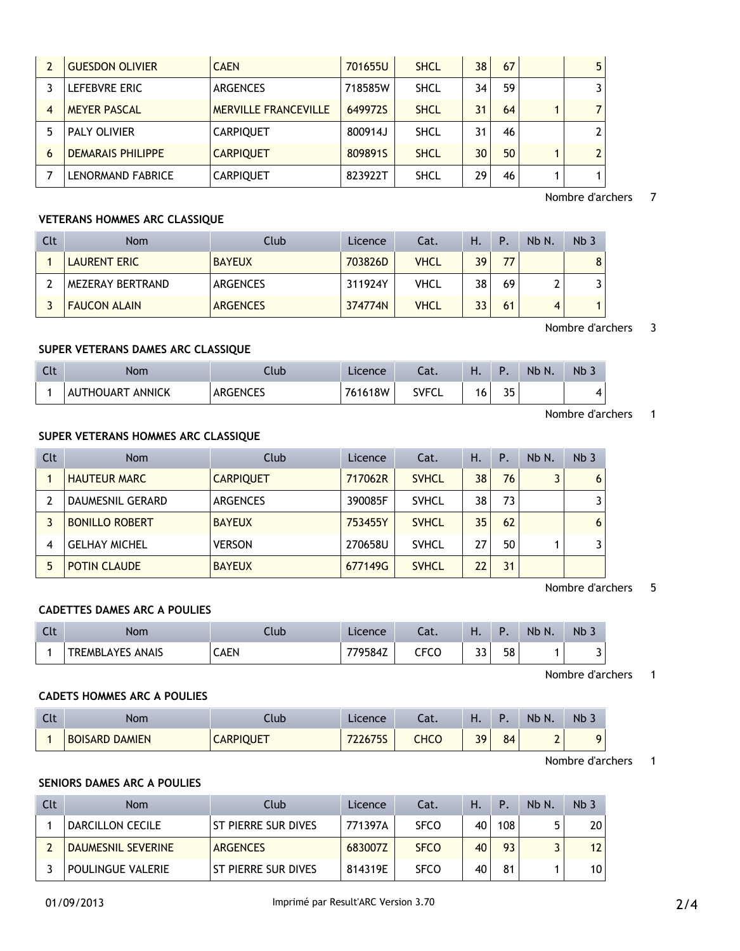|    | <b>GUESDON OLIVIER</b>   | <b>CAEN</b>                 | 701655U | <b>SHCL</b> | 38 | 67 | 5              |
|----|--------------------------|-----------------------------|---------|-------------|----|----|----------------|
|    | LEFEBVRE ERIC            | <b>ARGENCES</b>             | 718585W | <b>SHCL</b> | 34 | 59 |                |
|    | <b>MEYER PASCAL</b>      | <b>MERVILLE FRANCEVILLE</b> | 649972S | <b>SHCL</b> | 31 | 64 |                |
| 5. | <b>PALY OLIVIER</b>      | <b>CARPIQUET</b>            | 800914J | <b>SHCL</b> | 31 | 46 | 2              |
| 6  | <b>DEMARAIS PHILIPPE</b> | <b>CARPIQUET</b>            | 8098915 | <b>SHCL</b> | 30 | 50 | $\overline{a}$ |
|    | LENORMAND FABRICE        | <b>CARPIQUET</b>            | 823922T | <b>SHCL</b> | 29 | 46 | 1              |

Nombre d'archers 7

# **VETERANS HOMMES ARC CLASSIQUE**

| Clt | <b>Nom</b>          | Club            | Licence | Cat.        | Η. | P  | Nb N. | Nb <sub>3</sub> |
|-----|---------------------|-----------------|---------|-------------|----|----|-------|-----------------|
|     | LAURENT ERIC        | <b>BAYEUX</b>   | 703826D | <b>VHCL</b> | 39 | 77 |       | 8               |
|     | MEZERAY BERTRAND    | ARGENCES        | 311924Y | VHCL        | 38 | 69 |       |                 |
|     | <b>FAUCON ALAIN</b> | <b>ARGENCES</b> | 374774N | <b>VHCL</b> | 33 | 61 |       |                 |

Nombre d'archers 3

## **SUPER VETERANS DAMES ARC CLASSIQUE**

| Clt | Nom                             | Club            | rence        | Cat.              | п. | D        | <b>Nb</b><br>N. | Nb . |
|-----|---------------------------------|-----------------|--------------|-------------------|----|----------|-----------------|------|
|     | <b>ANNICK</b><br>JTHOUART<br>Αl | <b>ARGENCES</b> | 1618W<br>76. | <b>SVEC</b><br>◡└ | 6  | २५<br>ັບ |                 |      |

Nombre d'archers 1

## **SUPER VETERANS HOMMES ARC CLASSIQUE**

| Clt | <b>Nom</b>            | Club             | Licence | Cat.         | Η. | Ρ. | Nb N. | Nb <sub>3</sub> |
|-----|-----------------------|------------------|---------|--------------|----|----|-------|-----------------|
|     | <b>HAUTEUR MARC</b>   | <b>CARPIQUET</b> | 717062R | <b>SVHCL</b> | 38 | 76 | 3     | 6               |
|     | DAUMESNIL GERARD      | <b>ARGENCES</b>  | 390085F | <b>SVHCL</b> | 38 | 73 |       |                 |
|     | <b>BONILLO ROBERT</b> | <b>BAYEUX</b>    | 753455Y | <b>SVHCL</b> | 35 | 62 |       | 6               |
|     | <b>GELHAY MICHEL</b>  | <b>VERSON</b>    | 270658U | <b>SVHCL</b> | 27 | 50 |       |                 |
|     | <b>POTIN CLAUDE</b>   | <b>BAYEUX</b>    | 677149G | <b>SVHCL</b> | 22 | 31 |       |                 |

Nombre d'archers 5

### **CADETTES DAMES ARC A POULIES**

| Clt | Nom                     | Club | Licence | Cat. | . .        |    | <b>Nb</b><br>N. | N <sub>b</sub>                |
|-----|-------------------------|------|---------|------|------------|----|-----------------|-------------------------------|
|     | <b>TREMBLAYES ANAIS</b> | CAEN | 779584Z | CFCC | ר ר<br>J J | 58 |                 | $\overline{\phantom{0}}$<br>ٮ |

Nombre d'archers 1

## **CADETS HOMMES ARC A POULIES**

| Clt | Nom                             | Llub             | Licence | −at. | . . |    | Nb<br>Ν. | Nb. |
|-----|---------------------------------|------------------|---------|------|-----|----|----------|-----|
|     | <b>DAMIEN</b><br><b>BOISARD</b> | <b>CARPIQUET</b> | 22675S  | снсс | 39  | 84 | ∽<br>∸   | O   |

Nombre d'archers 1

# **SENIORS DAMES ARC A POULIES**

| Clt | <b>Nom</b>         | Club                  | Licence | Cat.        | Н. | Ρ.  | Nb N. | Nb <sub>3</sub> |
|-----|--------------------|-----------------------|---------|-------------|----|-----|-------|-----------------|
|     | DARCILLON CECILE   | l St pierre sur dives | 771397A | <b>SFCO</b> | 40 | 108 |       | 20 <sub>1</sub> |
|     | DAUMESNIL SEVERINE | <b>ARGENCES</b>       | 683007Z | <b>SFCO</b> | 40 | 93  |       | 12 <sup>°</sup> |
|     | POULINGUE VALERIE  | ST PIERRE SUR DIVES   | 814319E | <b>SFCO</b> | 40 | 81  |       | 10 <sub>1</sub> |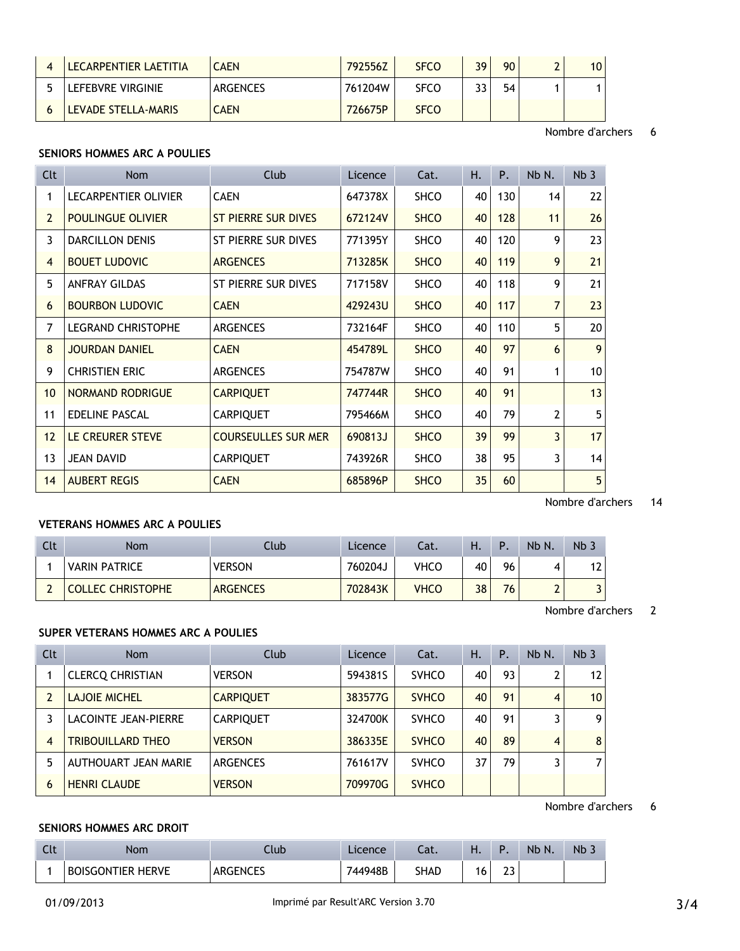| LECARPENTIER LAETITIA | <b>CAEN</b> | 792556Z | <b>SFCO</b> | 39 | 90 | 10 <sup>°</sup> |
|-----------------------|-------------|---------|-------------|----|----|-----------------|
| LEFEBVRE VIRGINIE     | ARGENCES    | 761204W | <b>SFCO</b> | 33 | 54 |                 |
| LEVADE STELLA-MARIS   | <b>CAEN</b> | 726675P | <b>SFCO</b> |    |    |                 |

Nombre d'archers 6

# **SENIORS HOMMES ARC A POULIES**

| Clt             | Nom                         | Club                       | Licence | Cat.        | Η. | P.  | Nb N.          | Nb <sub>3</sub> |
|-----------------|-----------------------------|----------------------------|---------|-------------|----|-----|----------------|-----------------|
| 1               | <b>LECARPENTIER OLIVIER</b> | <b>CAEN</b>                | 647378X | <b>SHCO</b> | 40 | 130 | 14             | 22              |
| $\overline{2}$  | <b>POULINGUE OLIVIER</b>    | ST PIERRE SUR DIVES        | 672124V | <b>SHCO</b> | 40 | 128 | 11             | 26              |
| 3               | <b>DARCILLON DENIS</b>      | ST PIERRE SUR DIVES        | 771395Y | <b>SHCO</b> | 40 | 120 | 9              | 23              |
| 4               | <b>BOUET LUDOVIC</b>        | <b>ARGENCES</b>            | 713285K | <b>SHCO</b> | 40 | 119 | 9              | 21              |
| 5               | <b>ANFRAY GILDAS</b>        | ST PIERRE SUR DIVES        | 717158V | <b>SHCO</b> | 40 | 118 | 9              | 21              |
| 6               | <b>BOURBON LUDOVIC</b>      | <b>CAEN</b>                | 429243U | <b>SHCO</b> | 40 | 117 | $\overline{7}$ | 23              |
| 7               | <b>LEGRAND CHRISTOPHE</b>   | <b>ARGENCES</b>            | 732164F | <b>SHCO</b> | 40 | 110 | 5              | 20 <sup>°</sup> |
| 8               | <b>JOURDAN DANIEL</b>       | <b>CAEN</b>                | 454789L | <b>SHCO</b> | 40 | 97  | 6              | 9               |
| 9               | <b>CHRISTIEN ERIC</b>       | <b>ARGENCES</b>            | 754787W | <b>SHCO</b> | 40 | 91  | 1              | 10 <sup>1</sup> |
| 10 <sup>°</sup> | NORMAND RODRIGUE            | <b>CARPIQUET</b>           | 747744R | <b>SHCO</b> | 40 | 91  |                | 13              |
| 11              | EDELINE PASCAL              | <b>CARPIQUET</b>           | 795466M | <b>SHCO</b> | 40 | 79  | $\overline{2}$ | 5 <sup>1</sup>  |
| 12              | LE CREURER STEVE            | <b>COURSEULLES SUR MER</b> | 690813J | <b>SHCO</b> | 39 | 99  | 3              | 17              |
| 13              | <b>JEAN DAVID</b>           | <b>CARPIQUET</b>           | 743926R | <b>SHCO</b> | 38 | 95  | 3              | 14              |
| 14              | <b>AUBERT REGIS</b>         | <b>CAEN</b>                | 685896P | <b>SHCO</b> | 35 | 60  |                | 5 <sub>1</sub>  |

Nombre d'archers 14

# **VETERANS HOMMES ARC A POULIES**

| Clt | <b>Nom</b>               | Club            | Licence | Cat.        | н. | D  | Nb N. | Nb <sub>3</sub> |
|-----|--------------------------|-----------------|---------|-------------|----|----|-------|-----------------|
|     | <b>VARIN PATRICE</b>     | <b>VERSON</b>   | 760204J | VHCO        | 40 | 96 |       | 12              |
|     | <b>COLLEC CHRISTOPHE</b> | <b>ARGENCES</b> | 702843K | <b>VHCO</b> | 38 | 76 |       |                 |

Nombre d'archers 2

# **SUPER VETERANS HOMMES ARC A POULIES**

| Clt            | <b>Nom</b>               | Club             | Licence | Cat.         | Η. | Ρ. | Nb N.          | Nb <sub>3</sub> |
|----------------|--------------------------|------------------|---------|--------------|----|----|----------------|-----------------|
|                | <b>CLERCO CHRISTIAN</b>  | <b>VERSON</b>    | 594381S | <b>SVHCO</b> | 40 | 93 | 2              | 12 <sup>2</sup> |
| 2              | <b>LAJOIE MICHEL</b>     | <b>CARPIQUET</b> | 383577G | <b>SVHCO</b> | 40 | 91 | $\overline{4}$ | 10 <sup>°</sup> |
|                | LACOINTE JEAN-PIERRE     | <b>CARPIQUET</b> | 324700K | <b>SVHCO</b> | 40 | 91 | 3              | 9 <sub>1</sub>  |
| $\overline{4}$ | <b>TRIBOUILLARD THEO</b> | <b>VERSON</b>    | 386335E | <b>SVHCO</b> | 40 | 89 | 4              | 8               |
| 5              | AUTHOUART JEAN MARIE     | <b>ARGENCES</b>  | 761617V | <b>SVHCO</b> | 37 | 79 | 3              | $\overline{7}$  |
| 6              | <b>HENRI CLAUDE</b>      | <b>VERSON</b>    | 709970G | <b>SVHCO</b> |    |    |                |                 |

Nombre d'archers 6

## **SENIORS HOMMES ARC DROIT**

| $\sim$<br>しいし | <b>Nom</b>               | Jub                          | cence   | .<br>cal.   | . . | D<br>. .         | <b>N<sub>b</sub></b><br>N. | c Nb |
|---------------|--------------------------|------------------------------|---------|-------------|-----|------------------|----------------------------|------|
|               | <b>BOISGONTIER HERVE</b> | <b>ARGENCES</b><br>ANULINULJ | 744948B | <b>SHAD</b> |     | ~~<br><u>_ _</u> |                            |      |